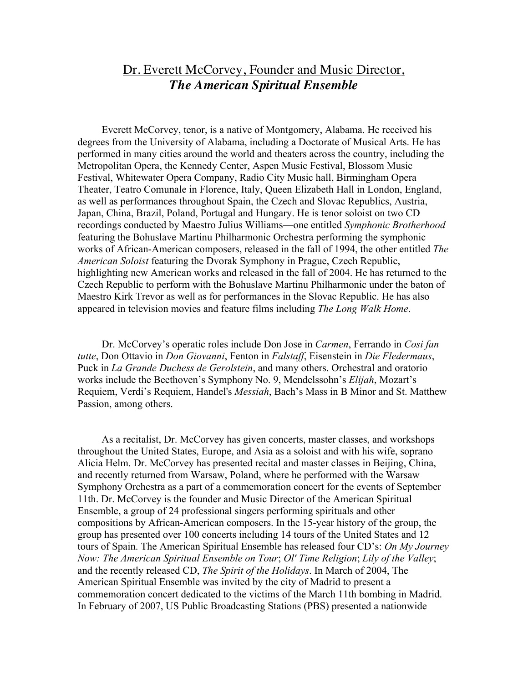## Dr. Everett McCorvey, Founder and Music Director, *The American Spiritual Ensemble*

Everett McCorvey, tenor, is a native of Montgomery, Alabama. He received his degrees from the University of Alabama, including a Doctorate of Musical Arts. He has performed in many cities around the world and theaters across the country, including the Metropolitan Opera, the Kennedy Center, Aspen Music Festival, Blossom Music Festival, Whitewater Opera Company, Radio City Music hall, Birmingham Opera Theater, Teatro Comunale in Florence, Italy, Queen Elizabeth Hall in London, England, as well as performances throughout Spain, the Czech and Slovac Republics, Austria, Japan, China, Brazil, Poland, Portugal and Hungary. He is tenor soloist on two CD recordings conducted by Maestro Julius Williams—one entitled *Symphonic Brotherhood* featuring the Bohuslave Martinu Philharmonic Orchestra performing the symphonic works of African-American composers, released in the fall of 1994, the other entitled *The American Soloist* featuring the Dvorak Symphony in Prague, Czech Republic, highlighting new American works and released in the fall of 2004. He has returned to the Czech Republic to perform with the Bohuslave Martinu Philharmonic under the baton of Maestro Kirk Trevor as well as for performances in the Slovac Republic. He has also appeared in television movies and feature films including *The Long Walk Home*.

Dr. McCorvey's operatic roles include Don Jose in *Carmen*, Ferrando in *Cosi fan tutte*, Don Ottavio in *Don Giovanni*, Fenton in *Falstaff*, Eisenstein in *Die Fledermaus*, Puck in *La Grande Duchess de Gerolstein*, and many others. Orchestral and oratorio works include the Beethoven's Symphony No. 9, Mendelssohn's *Elijah*, Mozart's Requiem, Verdi's Requiem, Handel's *Messiah*, Bach's Mass in B Minor and St. Matthew Passion, among others.

As a recitalist, Dr. McCorvey has given concerts, master classes, and workshops throughout the United States, Europe, and Asia as a soloist and with his wife, soprano Alicia Helm. Dr. McCorvey has presented recital and master classes in Beijing, China, and recently returned from Warsaw, Poland, where he performed with the Warsaw Symphony Orchestra as a part of a commemoration concert for the events of September 11th. Dr. McCorvey is the founder and Music Director of the American Spiritual Ensemble, a group of 24 professional singers performing spirituals and other compositions by African-American composers. In the 15-year history of the group, the group has presented over 100 concerts including 14 tours of the United States and 12 tours of Spain. The American Spiritual Ensemble has released four CD's: *On My Journey Now: The American Spiritual Ensemble on Tour*; *Ol' Time Religion*; *Lily of the Valley*; and the recently released CD, *The Spirit of the Holidays*. In March of 2004, The American Spiritual Ensemble was invited by the city of Madrid to present a commemoration concert dedicated to the victims of the March 11th bombing in Madrid. In February of 2007, US Public Broadcasting Stations (PBS) presented a nationwide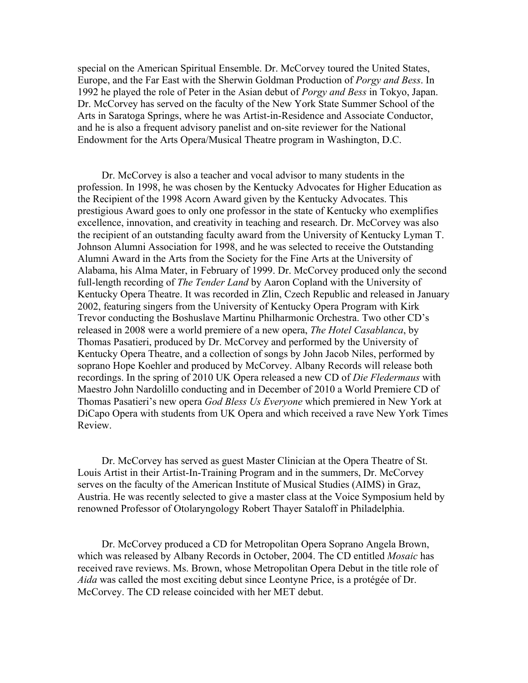special on the American Spiritual Ensemble. Dr. McCorvey toured the United States, Europe, and the Far East with the Sherwin Goldman Production of *Porgy and Bess*. In 1992 he played the role of Peter in the Asian debut of *Porgy and Bess* in Tokyo, Japan. Dr. McCorvey has served on the faculty of the New York State Summer School of the Arts in Saratoga Springs, where he was Artist-in-Residence and Associate Conductor, and he is also a frequent advisory panelist and on-site reviewer for the National Endowment for the Arts Opera/Musical Theatre program in Washington, D.C.

Dr. McCorvey is also a teacher and vocal advisor to many students in the profession. In 1998, he was chosen by the Kentucky Advocates for Higher Education as the Recipient of the 1998 Acorn Award given by the Kentucky Advocates. This prestigious Award goes to only one professor in the state of Kentucky who exemplifies excellence, innovation, and creativity in teaching and research. Dr. McCorvey was also the recipient of an outstanding faculty award from the University of Kentucky Lyman T. Johnson Alumni Association for 1998, and he was selected to receive the Outstanding Alumni Award in the Arts from the Society for the Fine Arts at the University of Alabama, his Alma Mater, in February of 1999. Dr. McCorvey produced only the second full-length recording of *The Tender Land* by Aaron Copland with the University of Kentucky Opera Theatre. It was recorded in Zlin, Czech Republic and released in January 2002, featuring singers from the University of Kentucky Opera Program with Kirk Trevor conducting the Boshuslave Martinu Philharmonic Orchestra. Two other CD's released in 2008 were a world premiere of a new opera, *The Hotel Casablanca*, by Thomas Pasatieri, produced by Dr. McCorvey and performed by the University of Kentucky Opera Theatre, and a collection of songs by John Jacob Niles, performed by soprano Hope Koehler and produced by McCorvey. Albany Records will release both recordings. In the spring of 2010 UK Opera released a new CD of *Die Fledermaus* with Maestro John Nardolillo conducting and in December of 2010 a World Premiere CD of Thomas Pasatieri's new opera *God Bless Us Everyone* which premiered in New York at DiCapo Opera with students from UK Opera and which received a rave New York Times Review.

Dr. McCorvey has served as guest Master Clinician at the Opera Theatre of St. Louis Artist in their Artist-In-Training Program and in the summers, Dr. McCorvey serves on the faculty of the American Institute of Musical Studies (AIMS) in Graz, Austria. He was recently selected to give a master class at the Voice Symposium held by renowned Professor of Otolaryngology Robert Thayer Sataloff in Philadelphia.

Dr. McCorvey produced a CD for Metropolitan Opera Soprano Angela Brown, which was released by Albany Records in October, 2004. The CD entitled *Mosaic* has received rave reviews. Ms. Brown, whose Metropolitan Opera Debut in the title role of *Aida* was called the most exciting debut since Leontyne Price, is a protégée of Dr. McCorvey. The CD release coincided with her MET debut.